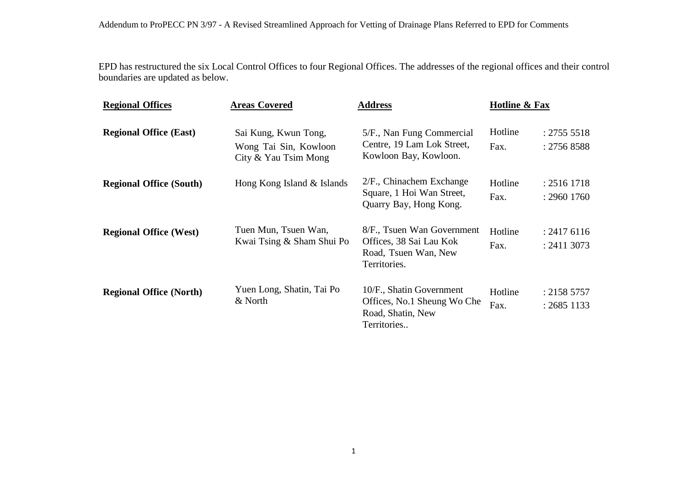EPD has restructured the six Local Control Offices to four Regional Offices. The addresses of the regional offices and their control boundaries are updated as below.

| <b>Regional Offices</b>        | <b>Areas Covered</b><br>Sai Kung, Kwun Tong,<br>Wong Tai Sin, Kowloon<br>City & Yau Tsim Mong | <b>Address</b><br>5/F., Nan Fung Commercial<br>Centre, 19 Lam Lok Street,<br>Kowloon Bay, Kowloon. | <b>Hotline &amp; Fax</b> |                              |
|--------------------------------|-----------------------------------------------------------------------------------------------|----------------------------------------------------------------------------------------------------|--------------------------|------------------------------|
| <b>Regional Office (East)</b>  |                                                                                               |                                                                                                    | Hotline<br>Fax.          | : 2755 5518<br>: 2756 8588   |
| <b>Regional Office (South)</b> | Hong Kong Island & Islands                                                                    | $2/F$ ., Chinachem Exchange<br>Square, 1 Hoi Wan Street,<br>Quarry Bay, Hong Kong.                 | Hotline<br>Fax.          | : 2516 1718<br>$: 2960$ 1760 |
| <b>Regional Office (West)</b>  | Tuen Mun, Tsuen Wan,<br>Kwai Tsing & Sham Shui Po                                             | 8/F., Tsuen Wan Government<br>Offices, 38 Sai Lau Kok<br>Road, Tsuen Wan, New<br>Territories.      | Hotline<br>Fax.          | : 24176116<br>: 2411 3073    |
| <b>Regional Office (North)</b> | Yuen Long, Shatin, Tai Po<br>& North                                                          | 10/F., Shatin Government<br>Offices, No.1 Sheung Wo Che<br>Road, Shatin, New<br>Territories        | Hotline<br>Fax.          | : 2158 5757<br>$: 2685$ 1133 |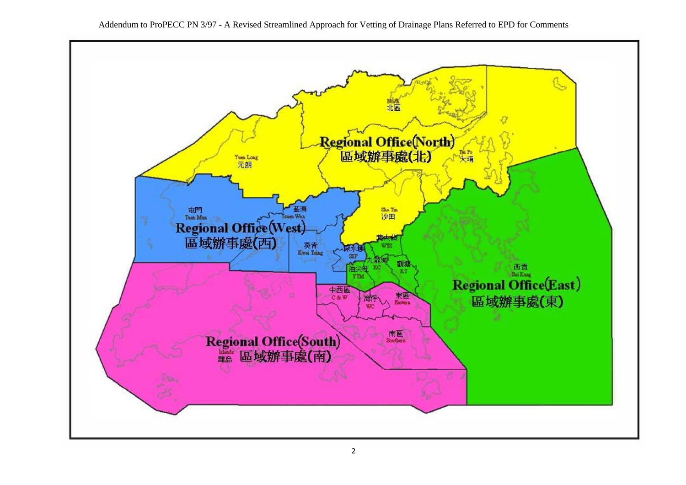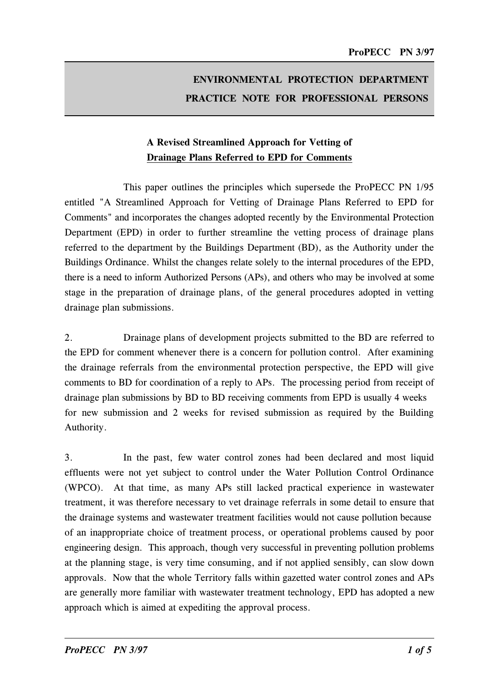# ENVIRONMENTAL PROTECTION DEPARTMENT PRACTICE NOTE FOR PROFESSIONAL PERSONS

# A Revised Streamlined Approach for Vetting of Drainage Plans Referred to EPD for Comments

This paper outlines the principles which supersede the ProPECC PN 1/95 entitled "A Streamlined Approach for Vetting of Drainage Plans Referred to EPD for Comments" and incorporates the changes adopted recently by the Environmental Protection Department (EPD) in order to further streamline the vetting process of drainage plans referred to the department by the Buildings Department (BD), as the Authority under the Buildings Ordinance. Whilst the changes relate solely to the internal procedures of the EPD, there is a need to inform Authorized Persons (APs), and others who may be involved at some stage in the preparation of drainage plans, of the general procedures adopted in vetting drainage plan submissions.

2. Drainage plans of development projects submitted to the BD are referred to the EPD for comment whenever there is a concern for pollution control. After examining the drainage referrals from the environmental protection perspective, the EPD will give comments to BD for coordination of a reply to APs. The processing period from receipt of drainage plan submissions by BD to BD receiving comments from EPD is usually 4 weeks for new submission and 2 weeks for revised submission as required by the Building Authority.

3. In the past, few water control zones had been declared and most liquid effluents were not yet subject to control under the Water Pollution Control Ordinance (WPCO). At that time, as many APs still lacked practical experience in wastewater treatment, it was therefore necessary to vet drainage referrals in some detail to ensure that the drainage systems and wastewater treatment facilities would not cause pollution because of an inappropriate choice of treatment process, or operational problems caused by poor engineering design. This approach, though very successful in preventing pollution problems at the planning stage, is very time consuming, and if not applied sensibly, can slow down approvals. Now that the whole Territory falls within gazetted water control zones and APs are generally more familiar with wastewater treatment technology, EPD has adopted a new approach which is aimed at expediting the approval process.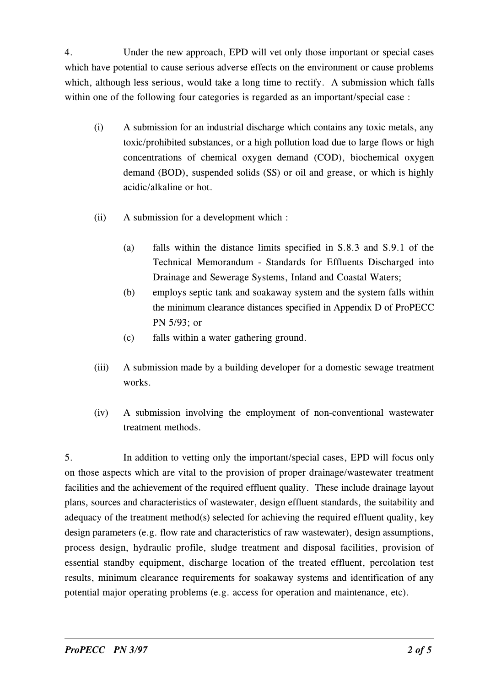4. Under the new approach, EPD will vet only those important or special cases which have potential to cause serious adverse effects on the environment or cause problems which, although less serious, would take a long time to rectify. A submission which falls within one of the following four categories is regarded as an important/special case :

- (i) A submission for an industrial discharge which contains any toxic metals, any toxic/prohibited substances, or a high pollution load due to large flows or high concentrations of chemical oxygen demand (COD), biochemical oxygen demand (BOD), suspended solids (SS) or oil and grease, or which is highly acidic/alkaline or hot.
- (ii) A submission for a development which :
	- (a) falls within the distance limits specified in S.8.3 and S.9.1 of the Technical Memorandum - Standards for Effluents Discharged into Drainage and Sewerage Systems, Inland and Coastal Waters;
	- (b) employs septic tank and soakaway system and the system falls within the minimum clearance distances specified in Appendix D of ProPECC PN 5/93; or
	- (c) falls within a water gathering ground.
- (iii) A submission made by a building developer for a domestic sewage treatment works.
- (iv) A submission involving the employment of non-conventional wastewater treatment methods.

5. In addition to vetting only the important/special cases, EPD will focus only on those aspects which are vital to the provision of proper drainage/wastewater treatment facilities and the achievement of the required effluent quality. These include drainage layout plans, sources and characteristics of wastewater, design effluent standards, the suitability and adequacy of the treatment method(s) selected for achieving the required effluent quality, key design parameters (e.g. flow rate and characteristics of raw wastewater), design assumptions, process design, hydraulic profile, sludge treatment and disposal facilities, provision of essential standby equipment, discharge location of the treated effluent, percolation test results, minimum clearance requirements for soakaway systems and identification of any potential major operating problems (e.g. access for operation and maintenance, etc).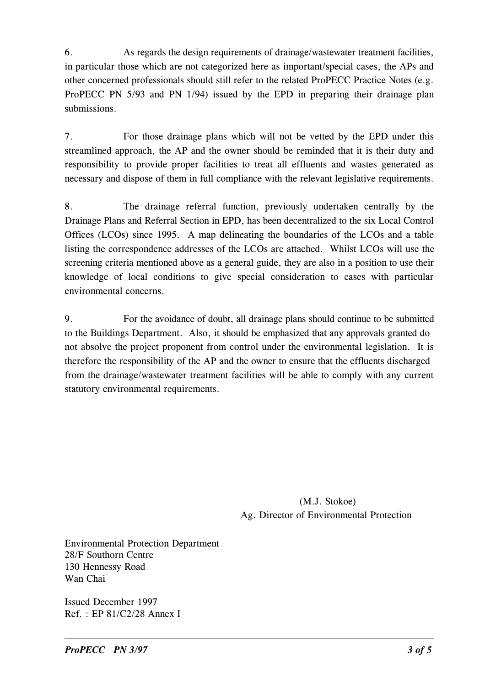6. As regards the design requirements of drainage/wastewater treatment facilities, in particular those which are not categorized here as important/special cases, the APs and other concerned professionals should still refer to the related ProPECC Practice Notes (e.g. ProPECC PN 5/93 and PN 1/94) issued by the EPD in preparing their drainage plan submissions.

7. For those drainage plans which will not be vetted by the EPD under this streamlined approach, the AP and the owner should be reminded that it is their duty and responsibility to provide proper facilities to treat all effluents and wastes generated as necessary and dispose of them in full compliance with the relevant legislative requirements.

8. The drainage referral function, previously undertaken centrally by the Drainage Plans and Referral Section in EPD, has been decentralized to the six Local Control Offices (LCOs) since 1995. A map delineating the boundaries of the LCOs and a table listing the correspondence addresses of the LCOs are attached. Whilst LCOs will use the screening criteria mentioned above as a general guide, they are also in a position to use their knowledge of local conditions to give special consideration to cases with particular environmental concerns.

9. For the avoidance of doubt, all drainage plans should continue to be submitted to the Buildings Department. Also, it should be emphasized that any approvals granted do not absolve the project proponent from control under the environmental legislation. It is therefore the responsibility of the AP and the owner to ensure that the effluents discharged from the drainage/wastewater treatment facilities will be able to comply with any current statutory environmental requirements.

> (M.J. Stokoe) Ag. Director of Environmental Protection

Environmental Protection Department 28/F Southorn Centre 130 Hennessy Road Wan Chai

Issued December 1997 Ref. : EP 81/C2/28 Annex I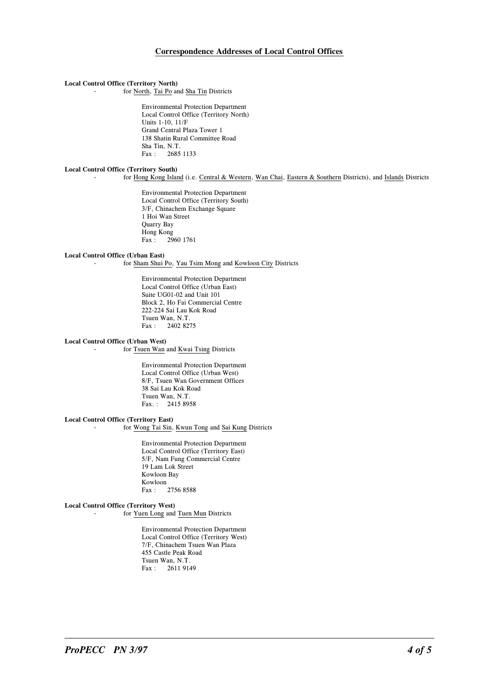## Correspondence Addresses of Local Control Offices

#### Local Control Office (Territory North)

for North, Tai Po and Sha Tin Districts

Environmental Protection Department Local Control Office (Territory North) Units 1-10, 11/F Grand Central Plaza Tower 1 138 Shatin Rural Committee Road Sha Tin, N.T.<br>Fax: 2685 2685 1133

#### Local Control Office (Territory Sonth)

for Hong Kong Island (i.e. Central & Western, Wan Chai, Eastern & Southern Districts), and Islands Districts

Environmental Protection Department Local Control Office (Territory South) 3/F, Chinachem Exchange Square 1 Hoi Wan Street Quarry Bay Hong Kong<br>Fax: 29 Fax : 2960 1761

#### Local Control Office (Urban East)

for Sham Shui Po, Yau Tsim Mong and Kowloon City Districts

Environmental Protection Department Local Control Office (Urban East) Suite UG01-02 and Unit 101 Block 2, Ho Fai Commercial Centre 222-224 Sai Lau Kok Road Tsuen Wan, N.T. Fax : 2402 8275

#### Local Control Office (Urban West)

for Tsuen Wan and Kwai Tsing Districts

Environmental Protection Department Local Control Office (Urban West) 8/F, Tsuen Wan Government Offices 38 Sai Lau Kok Road Tsuen Wan, N.T. Fax. : 2415 8958

#### Local Control Office (Territory East)

- for Wong Tai Sin, Kwun Tong and Sai Kung Districts

Environmental Protection Department Local Control Office (Territory East) 5/F, Nam Fung Commercial Centre 19 Lam Lok Street Kowloon Bay Kowloon<br>Fax: 2756 8588

### Local Control Office (Territory West)

- for Yuen Long and Tuen Mun Districts

Environmental Protection Department Local Control Office (Territory West) 7/F, Chinachem Tsuen Wan Plaza 455 Castle Peak Road Tsuen Wan, N.T. Fax : 2611 9149